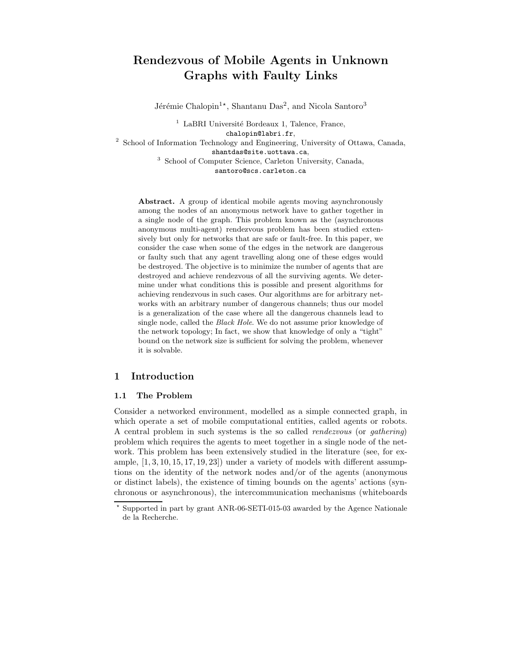# Rendezvous of Mobile Agents in Unknown Graphs with Faulty Links

Jérémie Chalopin<sup>1</sup>\*, Shantanu Das<sup>2</sup>, and Nicola Santoro<sup>3</sup>

 $1$  LaBRI Université Bordeaux 1, Talence, France, chalopin@labri.fr, <sup>2</sup> School of Information Technology and Engineering, University of Ottawa, Canada, shantdas@site.uottawa.ca, 3 School of Computer Science, Carleton University, Canada, santoro@scs.carleton.ca

Abstract. A group of identical mobile agents moving asynchronously among the nodes of an anonymous network have to gather together in a single node of the graph. This problem known as the (asynchronous anonymous multi-agent) rendezvous problem has been studied extensively but only for networks that are safe or fault-free. In this paper, we consider the case when some of the edges in the network are dangerous or faulty such that any agent travelling along one of these edges would be destroyed. The objective is to minimize the number of agents that are destroyed and achieve rendezvous of all the surviving agents. We determine under what conditions this is possible and present algorithms for achieving rendezvous in such cases. Our algorithms are for arbitrary networks with an arbitrary number of dangerous channels; thus our model is a generalization of the case where all the dangerous channels lead to single node, called the Black Hole. We do not assume prior knowledge of the network topology; In fact, we show that knowledge of only a "tight" bound on the network size is sufficient for solving the problem, whenever it is solvable.

## 1 Introduction

## 1.1 The Problem

Consider a networked environment, modelled as a simple connected graph, in which operate a set of mobile computational entities, called agents or robots. A central problem in such systems is the so called rendezvous (or gathering) problem which requires the agents to meet together in a single node of the network. This problem has been extensively studied in the literature (see, for example,  $[1, 3, 10, 15, 17, 19, 23]$  under a variety of models with different assumptions on the identity of the network nodes and/or of the agents (anonymous or distinct labels), the existence of timing bounds on the agents' actions (synchronous or asynchronous), the intercommunication mechanisms (whiteboards

Supported in part by grant ANR-06-SETI-015-03 awarded by the Agence Nationale de la Recherche.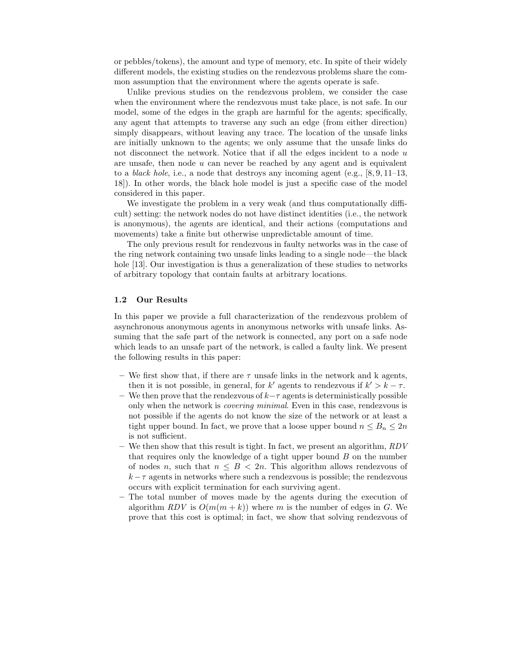or pebbles/tokens), the amount and type of memory, etc. In spite of their widely different models, the existing studies on the rendezvous problems share the common assumption that the environment where the agents operate is safe.

Unlike previous studies on the rendezvous problem, we consider the case when the environment where the rendezvous must take place, is not safe. In our model, some of the edges in the graph are harmful for the agents; specifically, any agent that attempts to traverse any such an edge (from either direction) simply disappears, without leaving any trace. The location of the unsafe links are initially unknown to the agents; we only assume that the unsafe links do not disconnect the network. Notice that if all the edges incident to a node  $u$ are unsafe, then node  $u$  can never be reached by any agent and is equivalent to a black hole, i.e., a node that destroys any incoming agent (e.g., [8, 9, 11–13, 18]). In other words, the black hole model is just a specific case of the model considered in this paper.

We investigate the problem in a very weak (and thus computationally difficult) setting: the network nodes do not have distinct identities (i.e., the network is anonymous), the agents are identical, and their actions (computations and movements) take a finite but otherwise unpredictable amount of time.

The only previous result for rendezvous in faulty networks was in the case of the ring network containing two unsafe links leading to a single node—the black hole [13]. Our investigation is thus a generalization of these studies to networks of arbitrary topology that contain faults at arbitrary locations.

## 1.2 Our Results

In this paper we provide a full characterization of the rendezvous problem of asynchronous anonymous agents in anonymous networks with unsafe links. Assuming that the safe part of the network is connected, any port on a safe node which leads to an unsafe part of the network, is called a faulty link. We present the following results in this paper:

- We first show that, if there are  $\tau$  unsafe links in the network and k agents, then it is not possible, in general, for k' agents to rendezvous if  $k' > k - \tau$ .
- We then prove that the rendezvous of  $k-\tau$  agents is deterministically possible only when the network is covering minimal. Even in this case, rendezvous is not possible if the agents do not know the size of the network or at least a tight upper bound. In fact, we prove that a loose upper bound  $n \leq B_n \leq 2n$ is not sufficient.
- We then show that this result is tight. In fact, we present an algorithm,  $RDV$ that requires only the knowledge of a tight upper bound B on the number of nodes n, such that  $n \leq B < 2n$ . This algorithm allows rendezvous of  $k-\tau$  agents in networks where such a rendezvous is possible; the rendezvous occurs with explicit termination for each surviving agent.
- The total number of moves made by the agents during the execution of algorithm RDV is  $O(m(m + k))$  where m is the number of edges in G. We prove that this cost is optimal; in fact, we show that solving rendezvous of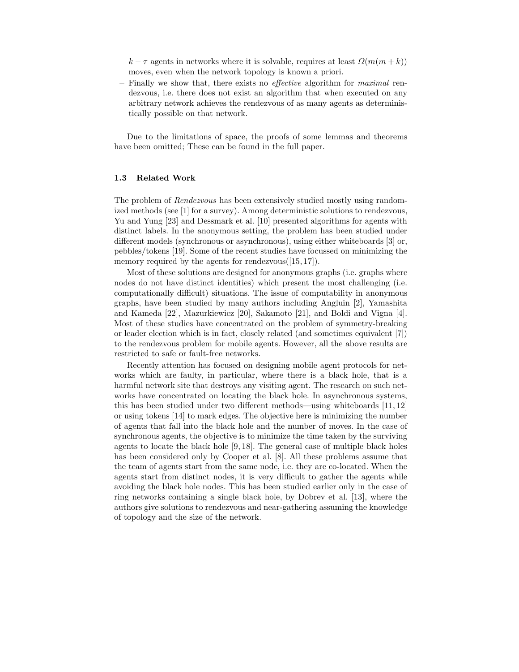$k - \tau$  agents in networks where it is solvable, requires at least  $\Omega(m(m + k))$ moves, even when the network topology is known a priori.

– Finally we show that, there exists no effective algorithm for maximal rendezvous, i.e. there does not exist an algorithm that when executed on any arbitrary network achieves the rendezvous of as many agents as deterministically possible on that network.

Due to the limitations of space, the proofs of some lemmas and theorems have been omitted; These can be found in the full paper.

## 1.3 Related Work

The problem of Rendezvous has been extensively studied mostly using randomized methods (see [1] for a survey). Among deterministic solutions to rendezvous, Yu and Yung [23] and Dessmark et al. [10] presented algorithms for agents with distinct labels. In the anonymous setting, the problem has been studied under different models (synchronous or asynchronous), using either whiteboards [3] or, pebbles/tokens [19]. Some of the recent studies have focussed on minimizing the memory required by the agents for rendezvous $([15, 17])$ .

Most of these solutions are designed for anonymous graphs (i.e. graphs where nodes do not have distinct identities) which present the most challenging (i.e. computationally difficult) situations. The issue of computability in anonymous graphs, have been studied by many authors including Angluin [2], Yamashita and Kameda [22], Mazurkiewicz [20], Sakamoto [21], and Boldi and Vigna [4]. Most of these studies have concentrated on the problem of symmetry-breaking or leader election which is in fact, closely related (and sometimes equivalent [7]) to the rendezvous problem for mobile agents. However, all the above results are restricted to safe or fault-free networks.

Recently attention has focused on designing mobile agent protocols for networks which are faulty, in particular, where there is a black hole, that is a harmful network site that destroys any visiting agent. The research on such networks have concentrated on locating the black hole. In asynchronous systems, this has been studied under two different methods—using whiteboards [11, 12] or using tokens [14] to mark edges. The objective here is minimizing the number of agents that fall into the black hole and the number of moves. In the case of synchronous agents, the objective is to minimize the time taken by the surviving agents to locate the black hole [9, 18]. The general case of multiple black holes has been considered only by Cooper et al. [8]. All these problems assume that the team of agents start from the same node, i.e. they are co-located. When the agents start from distinct nodes, it is very difficult to gather the agents while avoiding the black hole nodes. This has been studied earlier only in the case of ring networks containing a single black hole, by Dobrev et al. [13], where the authors give solutions to rendezvous and near-gathering assuming the knowledge of topology and the size of the network.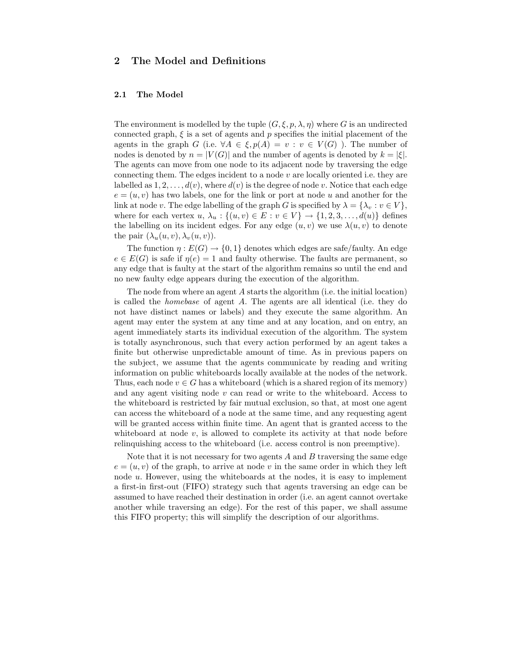## 2 The Model and Definitions

## 2.1 The Model

The environment is modelled by the tuple  $(G, \xi, p, \lambda, \eta)$  where G is an undirected connected graph,  $\xi$  is a set of agents and p specifies the initial placement of the agents in the graph G (i.e.  $\forall A \in \xi$ ,  $p(A) = v : v \in V(G)$ ). The number of nodes is denoted by  $n = |V(G)|$  and the number of agents is denoted by  $k = |\xi|$ . The agents can move from one node to its adjacent node by traversing the edge connecting them. The edges incident to a node  $v$  are locally oriented i.e. they are labelled as  $1, 2, \ldots, d(v)$ , where  $d(v)$  is the degree of node v. Notice that each edge  $e = (u, v)$  has two labels, one for the link or port at node u and another for the link at node v. The edge labelling of the graph G is specified by  $\lambda = {\lambda_v : v \in V},$ where for each vertex  $u, \lambda_u : \{(u, v) \in E : v \in V\} \to \{1, 2, 3, \ldots, d(u)\}\$ defines the labelling on its incident edges. For any edge  $(u, v)$  we use  $\lambda(u, v)$  to denote the pair  $(\lambda_u(u, v), \lambda_v(u, v))$ .

The function  $\eta : E(G) \to \{0,1\}$  denotes which edges are safe/faulty. An edge  $e \in E(G)$  is safe if  $\eta(e) = 1$  and faulty otherwise. The faults are permanent, so any edge that is faulty at the start of the algorithm remains so until the end and no new faulty edge appears during the execution of the algorithm.

The node from where an agent A starts the algorithm (i.e. the initial location) is called the homebase of agent A. The agents are all identical (i.e. they do not have distinct names or labels) and they execute the same algorithm. An agent may enter the system at any time and at any location, and on entry, an agent immediately starts its individual execution of the algorithm. The system is totally asynchronous, such that every action performed by an agent takes a finite but otherwise unpredictable amount of time. As in previous papers on the subject, we assume that the agents communicate by reading and writing information on public whiteboards locally available at the nodes of the network. Thus, each node  $v \in G$  has a whiteboard (which is a shared region of its memory) and any agent visiting node  $v$  can read or write to the whiteboard. Access to the whiteboard is restricted by fair mutual exclusion, so that, at most one agent can access the whiteboard of a node at the same time, and any requesting agent will be granted access within finite time. An agent that is granted access to the whiteboard at node  $v$ , is allowed to complete its activity at that node before relinquishing access to the whiteboard (i.e. access control is non preemptive).

Note that it is not necessary for two agents  $A$  and  $B$  traversing the same edge  $e = (u, v)$  of the graph, to arrive at node v in the same order in which they left node u. However, using the whiteboards at the nodes, it is easy to implement a first-in first-out (FIFO) strategy such that agents traversing an edge can be assumed to have reached their destination in order (i.e. an agent cannot overtake another while traversing an edge). For the rest of this paper, we shall assume this FIFO property; this will simplify the description of our algorithms.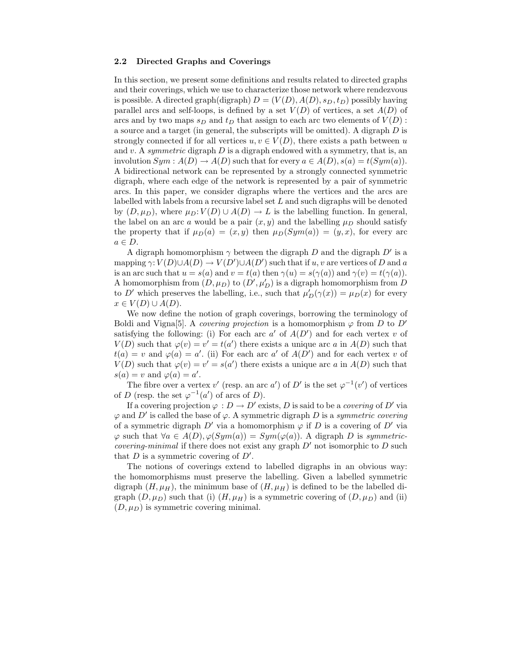## 2.2 Directed Graphs and Coverings

In this section, we present some definitions and results related to directed graphs and their coverings, which we use to characterize those network where rendezvous is possible. A directed graph(digraph)  $D = (V(D), A(D), s_D, t_D)$  possibly having parallel arcs and self-loops, is defined by a set  $V(D)$  of vertices, a set  $A(D)$  of arcs and by two maps  $s_D$  and  $t_D$  that assign to each arc two elements of  $V(D)$ : a source and a target (in general, the subscripts will be omitted). A digraph D is strongly connected if for all vertices  $u, v \in V(D)$ , there exists a path between u and v. A symmetric digraph  $D$  is a digraph endowed with a symmetry, that is, an involution  $Sym : A(D) \to A(D)$  such that for every  $a \in A(D)$ ,  $s(a) = t(Sym(a))$ . A bidirectional network can be represented by a strongly connected symmetric digraph, where each edge of the network is represented by a pair of symmetric arcs. In this paper, we consider digraphs where the vertices and the arcs are labelled with labels from a recursive label set L and such digraphs will be denoted by  $(D, \mu_D)$ , where  $\mu_D: V(D) \cup A(D) \to L$  is the labelling function. In general, the label on an arc a would be a pair  $(x, y)$  and the labelling  $\mu_D$  should satisfy the property that if  $\mu_D(a) = (x, y)$  then  $\mu_D(Sym(a)) = (y, x)$ , for every arc  $a \in D$ .

A digraph homomorphism  $\gamma$  between the digraph D and the digraph D' is a mapping  $\gamma: V(D) \cup A(D) \to V(D') \cup A(D')$  such that if u, v are vertices of D and a is an arc such that  $u = s(a)$  and  $v = t(a)$  then  $\gamma(u) = s(\gamma(a))$  and  $\gamma(v) = t(\gamma(a))$ . A homomorphism from  $(D, \mu_D)$  to  $(D', \mu'_D)$  is a digraph homomorphism from D to D' which preserves the labelling, i.e., such that  $\mu'_D(\gamma(x)) = \mu_D(x)$  for every  $x \in V(D) \cup A(D).$ 

We now define the notion of graph coverings, borrowing the terminology of Boldi and Vigna[5]. A *covering projection* is a homomorphism  $\varphi$  from D to D' satisfying the following: (i) For each arc  $a'$  of  $A(D')$  and for each vertex v of  $V(D)$  such that  $\varphi(v) = v' = t(a')$  there exists a unique arc a in  $A(D)$  such that  $t(a) = v$  and  $\varphi(a) = a'$ . (ii) For each arc a' of  $A(D')$  and for each vertex v of  $V(D)$  such that  $\varphi(v) = v' = s(a')$  there exists a unique arc a in  $A(D)$  such that  $s(a) = v$  and  $\varphi(a) = a'$ .

The fibre over a vertex v' (resp. an arc a') of D' is the set  $\varphi^{-1}(v')$  of vertices of D (resp. the set  $\varphi^{-1}(a')$  of arcs of D).

If a covering projection  $\varphi : D \to D'$  exists, D is said to be a *covering* of D' via  $\varphi$  and D' is called the base of  $\varphi$ . A symmetric digraph D is a symmetric covering of a symmetric digraph  $D'$  via a homomorphism  $\varphi$  if D is a covering of D' via  $\varphi$  such that  $\forall a \in A(D), \varphi(Sym(a)) = Sym(\varphi(a))$ . A digraph D is symmetric*covering-minimal* if there does not exist any graph  $D'$  not isomorphic to D such that  $D$  is a symmetric covering of  $D'$ .

The notions of coverings extend to labelled digraphs in an obvious way: the homomorphisms must preserve the labelling. Given a labelled symmetric digraph  $(H, \mu_H)$ , the minimum base of  $(H, \mu_H)$  is defined to be the labelled digraph  $(D, \mu_D)$  such that (i)  $(H, \mu_H)$  is a symmetric covering of  $(D, \mu_D)$  and (ii)  $(D, \mu_D)$  is symmetric covering minimal.